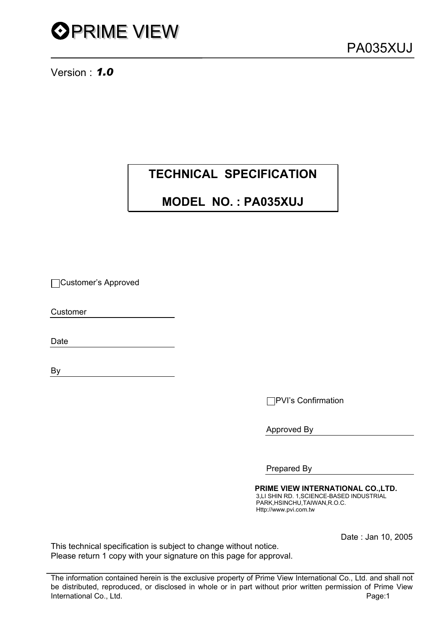PA035XUJ

Version : *1.0* 

# **TECHNICAL SPECIFICATION**

# **MODEL NO. : PA035XUJ**

Customer's Approved

Customer

Date

By

PVI's Confirmation

Approved By

Prepared By

 **PRIME VIEW INTERNATIONAL CO.,LTD.** 3,LI SHIN RD. 1,SCIENCE-BASED INDUSTRIAL PARK,HSINCHU,TAIWAN,R.O.C. Http://www.pvi.com.tw

Date : Jan 10, 2005

This technical specification is subject to change without notice. Please return 1 copy with your signature on this page for approval.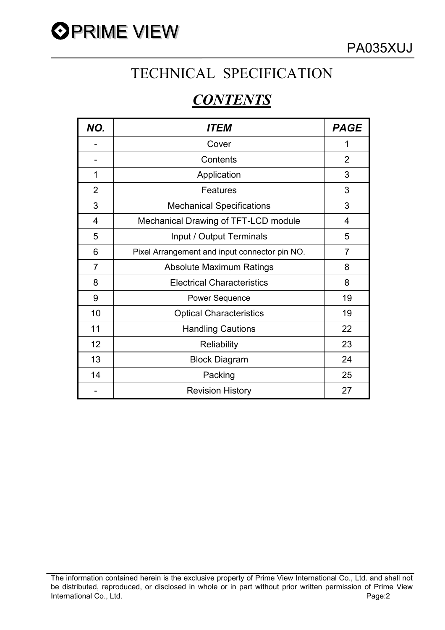

# TECHNICAL SPECIFICATION

# *CONTENTS*

| NO.            | <b>ITEM</b>                                   | <b>PAGE</b>    |
|----------------|-----------------------------------------------|----------------|
|                | Cover                                         | 1              |
|                | Contents                                      | $\overline{2}$ |
| 1              | Application                                   | 3              |
| $\overline{2}$ | Features                                      | 3              |
| 3              | <b>Mechanical Specifications</b>              | 3              |
| 4              | Mechanical Drawing of TFT-LCD module          | 4              |
| 5              | Input / Output Terminals                      | 5              |
| 6              | Pixel Arrangement and input connector pin NO. | 7              |
| $\overline{7}$ | <b>Absolute Maximum Ratings</b>               | 8              |
| 8              | <b>Electrical Characteristics</b>             | 8              |
| 9              | <b>Power Sequence</b>                         | 19             |
| 10             | <b>Optical Characteristics</b>                | 19             |
| 11             | <b>Handling Cautions</b>                      | 22             |
| 12             | <b>Reliability</b>                            | 23             |
| 13             | <b>Block Diagram</b>                          | 24             |
| 14             | Packing                                       | 25             |
|                | <b>Revision History</b>                       | 27             |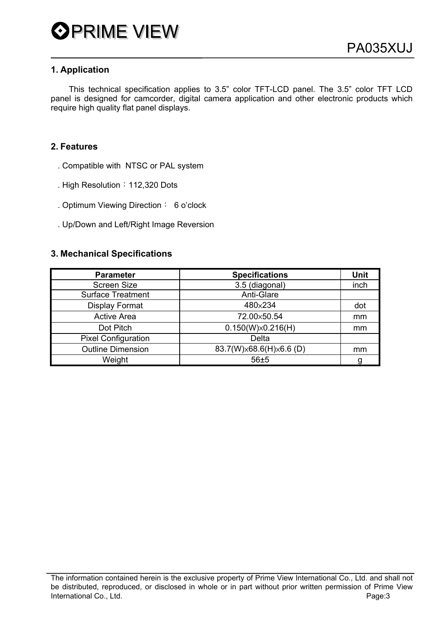## **1. Application**

 This technical specification applies to 3.5" color TFT-LCD panel. The 3.5" color TFT LCD panel is designed for camcorder, digital camera application and other electronic products which require high quality flat panel displays.

## **2. Features**

- . Compatible with NTSC or PAL system
- . High Resolution: 112,320 Dots
- . Optimum Viewing Direction: 6 o'clock
- . Up/Down and Left/Right Image Reversion

#### **3. Mechanical Specifications**

| <b>Parameter</b>           | <b>Specifications</b>    | Unit |
|----------------------------|--------------------------|------|
| <b>Screen Size</b>         | 3.5 (diagonal)           | inch |
| <b>Surface Treatment</b>   | Anti-Glare               |      |
| <b>Display Format</b>      | 480×234                  | dot  |
| <b>Active Area</b>         | 72.00×50.54              | mm   |
| Dot Pitch                  | $0.150(W)\times0.216(H)$ | mm   |
| <b>Pixel Configuration</b> | <b>Delta</b>             |      |
| <b>Outline Dimension</b>   | 83.7(W)×68.6(H)×6.6 (D)  | mm   |
| Weight                     | 56±5                     | a    |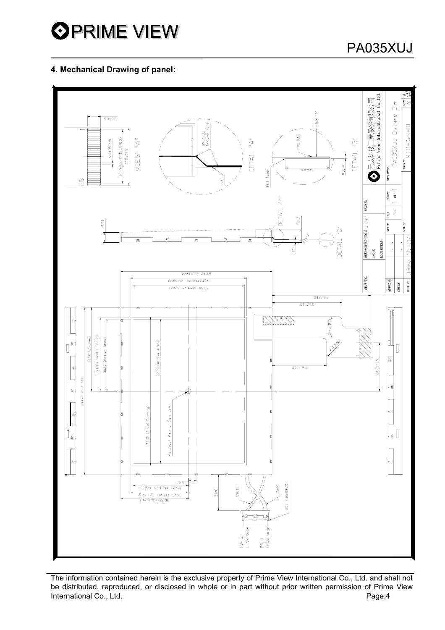

## **4. Mechanical Drawing of panel:**



The information contained herein is the exclusive property of Prime View International Co., Ltd. and shall not be distributed, reproduced, or disclosed in whole or in part without prior written permission of Prime View<br>
International Co., Ltd.<br>
Page:4 International Co., Ltd.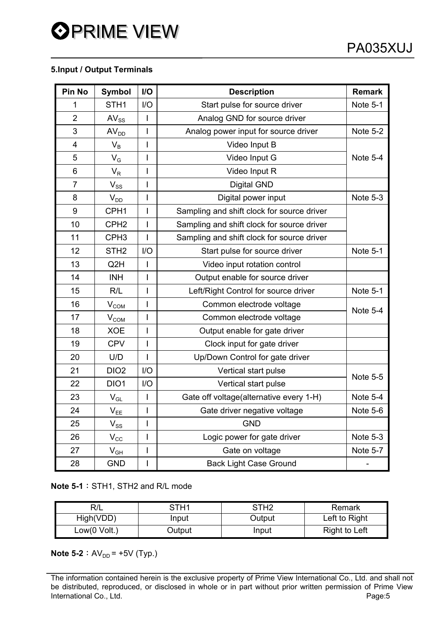# **OPRIME VIEW**

## **5.Input / Output Terminals**

| <b>Pin No</b>  | <b>Symbol</b>              | $II$           | <b>Description</b>                         | <b>Remark</b>   |
|----------------|----------------------------|----------------|--------------------------------------------|-----------------|
| 1              | STH <sub>1</sub>           | I/O            | Start pulse for source driver              | Note 5-1        |
| $\overline{2}$ | $AV_{SS}$                  | I              | Analog GND for source driver               |                 |
| 3              | AV <sub>DD</sub>           | I              | Analog power input for source driver       | Note 5-2        |
| 4              | $V_B$                      | I              | Video Input B                              |                 |
| 5              | $V_G$                      | I              | Video Input G                              | Note 5-4        |
| 6              | $\mathsf{V}_{\mathsf{R}}$  | I              | Video Input R                              |                 |
| $\overline{7}$ | $V_{SS}$                   | I              | <b>Digital GND</b>                         |                 |
| 8              | $V_{DD}$                   | I              | Digital power input                        | Note 5-3        |
| 9              | CPH <sub>1</sub>           | $\overline{1}$ | Sampling and shift clock for source driver |                 |
| 10             | CPH <sub>2</sub>           | I              | Sampling and shift clock for source driver |                 |
| 11             | CPH <sub>3</sub>           | I              | Sampling and shift clock for source driver |                 |
| 12             | STH <sub>2</sub>           | I/O            | Start pulse for source driver              | Note 5-1        |
| 13             | Q <sub>2</sub> H           | $\overline{1}$ | Video input rotation control               |                 |
| 14             | <b>INH</b>                 | $\overline{1}$ | Output enable for source driver            |                 |
| 15             | R/L                        | I              | Left/Right Control for source driver       | Note 5-1        |
| 16             | V <sub>COM</sub>           | I              | Common electrode voltage                   | Note 5-4        |
| 17             | V <sub>COM</sub>           | I              | Common electrode voltage                   |                 |
| 18             | <b>XOE</b>                 | $\overline{1}$ | Output enable for gate driver              |                 |
| 19             | <b>CPV</b>                 | I              | Clock input for gate driver                |                 |
| 20             | U/D                        | I              | Up/Down Control for gate driver            |                 |
| 21             | DIO <sub>2</sub>           | I/O            | Vertical start pulse                       | <b>Note 5-5</b> |
| 22             | DIO1                       | I/O            | Vertical start pulse                       |                 |
| 23             | $\mathsf{V}_{\mathsf{GL}}$ | I              | Gate off voltage(alternative every 1-H)    | Note 5-4        |
| 24             | $\mathsf{V}_{\mathsf{EE}}$ | I              | Gate driver negative voltage               | Note 5-6        |
| 25             | $V_{SS}$                   | I              | <b>GND</b>                                 |                 |
| 26             | $V_{\rm CC}$               | I              | Logic power for gate driver                | Note 5-3        |
| 27             | $V_{GH}$                   | Ī              | Gate on voltage                            | Note 5-7        |
| 28             | <b>GND</b>                 | I              | <b>Back Light Case Ground</b>              |                 |

**Note 5-1: STH1, STH2 and R/L mode** 

|              | STH1   | STH2   | Remark        |
|--------------|--------|--------|---------------|
| High(VDD)    | Input  | Output | Left to Right |
| Low(0 Volt.) | Output | Input  | Right to Left |

**Note 5-2** :  $AV_{DD} = +5V$  (Typ.)

The information contained herein is the exclusive property of Prime View International Co., Ltd. and shall not be distributed, reproduced, or disclosed in whole or in part without prior written permission of Prime View<br>International Co., Ltd.<br> International Co., Ltd.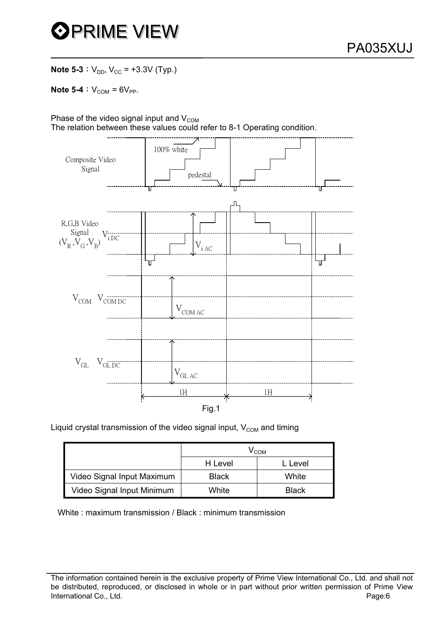

**Note 5-3** :  $V_{DD}$ ,  $V_{CC}$  = +3.3V (Typ.)

**Note 5-4** :  $V_{COM} = 6V_{PP}$ .

Phase of the video signal input and  $V_{COM}$ The relation between these values could refer to 8-1 Operating condition.



Liquid crystal transmission of the video signal input,  $V_{COM}$  and timing

|                            | $\prime$ COM |              |  |  |  |
|----------------------------|--------------|--------------|--|--|--|
|                            | H Level      | ∟ Level      |  |  |  |
| Video Signal Input Maximum | <b>Black</b> | White        |  |  |  |
| Video Signal Input Minimum | White        | <b>Black</b> |  |  |  |

White : maximum transmission / Black : minimum transmission

The information contained herein is the exclusive property of Prime View International Co., Ltd. and shall not be distributed, reproduced, or disclosed in whole or in part without prior written permission of Prime View International Co., Ltd. **Page:6 Page:6 Page:6 Page:6**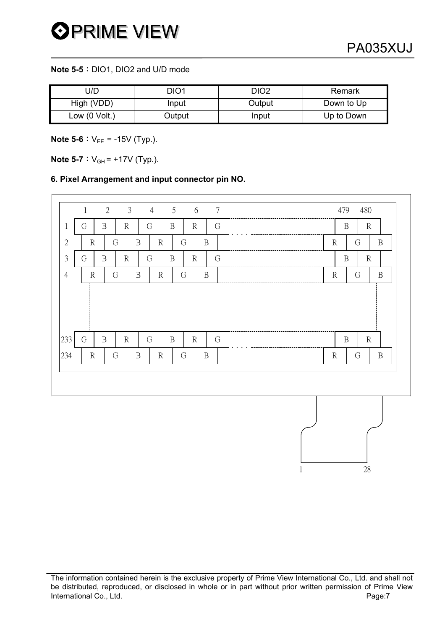#### **Note 5-5**: DIO1, DIO2 and U/D mode

| J/D             | DIO1   | DIO2   | Remark     |
|-----------------|--------|--------|------------|
| High (VDD)      | Input  | Output | Down to Up |
| Low $(0$ Volt.) | Output | Input  | Up to Down |

**Note 5-6** :  $V_{EE}$  = -15V (Typ.).

**Note 5-7** :  $V_{GH}$  = +17V (Typ.).

#### **6. Pixel Arrangement and input connector pin NO.**

|                | $\mathbf{1}$ | 2            | $\mathfrak{Z}$ | $\overline{4}$ | $5\overline{)}$ | 6            | 7 |              | 479          | 480          |              |
|----------------|--------------|--------------|----------------|----------------|-----------------|--------------|---|--------------|--------------|--------------|--------------|
| 1              | G            | B            | $\mathbb{R}$   | G              | $\mathbf B$     | $\mathbb{R}$ | G |              | $\, {\bf B}$ | $\mathbb{R}$ |              |
| $\mathfrak{2}$ | $\mathbb{R}$ | G            | $\, {\bf B}$   | $\mathbb{R}$   | G               | $\, {\bf B}$ |   | $\mathbb{R}$ |              | G            | $\mathbf B$  |
| 3              | G            | $\, {\bf B}$ | $\mathbb{R}$   | G              | $\mathbf B$     | $\mathbb{R}$ | G |              | $\mathbf B$  | $\rm R$      |              |
| $\overline{4}$ | $\mathbb{R}$ | G            | $\, {\bf B}$   | $\mathbb{R}$   | G               | $\mathbf B$  |   | $\mathbb{R}$ |              | G            | $\, {\bf B}$ |
| 233            | G            | B            | $\mathbb{R}$   | G              | B               | $\mathbb{R}$ | G |              | $\, {\bf B}$ | $\mathbb{R}$ |              |
| 234            | $\mathbb{R}$ | G            | $\, {\bf B}$   | $\mathbb{R}$   | G               | $\mathbf B$  |   | $\mathbb{R}$ |              | G            | B            |
|                |              |              |                |                |                 |              |   |              |              |              |              |

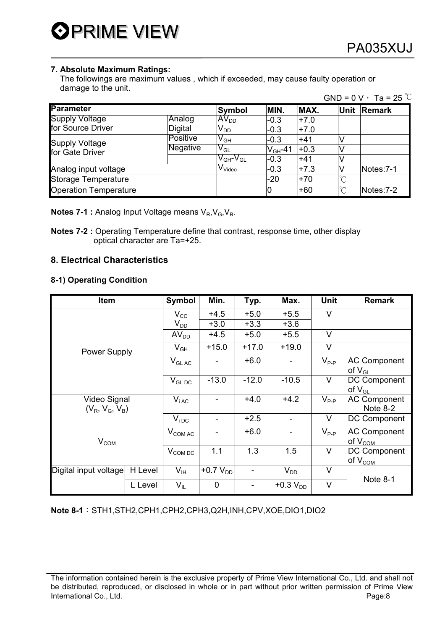

#### **7. Absolute Maximum Ratings:**

 The followings are maximum values , which if exceeded, may cause faulty operation or damage to the unit.  $GND = 0$  V,  $T_2 = 25$   $\degree$ C

|                              |                 |                                                            |                  |        |        | $GUV - UV$ and $KU$ |
|------------------------------|-----------------|------------------------------------------------------------|------------------|--------|--------|---------------------|
| <b>Parameter</b>             |                 | Symbol                                                     | MIN.             | MAX.   | Unit   | Remark              |
| <b>Supply Voltage</b>        | Analog          | AV <sub>DD</sub>                                           | $-0.3$           | $+7.0$ |        |                     |
| for Source Driver            | Digital         | $\mathsf{V}_{\mathsf{DD}}$                                 | $-0.3$           | $+7.0$ |        |                     |
| <b>Supply Voltage</b>        | <b>Positive</b> | $\mathsf{V}_{\mathsf{GH}}$                                 | $-0.3$           | $+41$  |        |                     |
| for Gate Driver              | <b>Negative</b> | $\mathsf{V}_{\mathsf{GL}}$                                 | $\rm V_{GH}$ -41 | $+0.3$ |        |                     |
|                              |                 | $\mathsf{V}_{\mathsf{GH}}\text{-}\mathsf{V}_{\mathsf{GL}}$ | $-0.3$           | $+41$  |        |                     |
| Analog input voltage         |                 | V <sub>Video</sub>                                         | $-0.3$           | $+7.3$ |        | Notes: 7-1          |
| Storage Temperature          |                 |                                                            | $-20$            | $+70$  | $\sim$ |                     |
| <b>Operation Temperature</b> |                 |                                                            | IО               | $+60$  | $\sim$ | Notes: 7-2          |

**Notes 7-1 :** Analog Input Voltage means V<sub>R</sub>, V<sub>G</sub>, V<sub>B</sub>.

## **8. Electrical Characteristics**

#### **8-1) Operating Condition**

| Item                              |         | <b>Symbol</b>     | Min.           | Typ.    | Max.          | Unit      | <b>Remark</b>                                                     |
|-----------------------------------|---------|-------------------|----------------|---------|---------------|-----------|-------------------------------------------------------------------|
|                                   |         | $V_{\rm CC}$      | $+4.5$         | $+5.0$  | $+5.5$        | V         |                                                                   |
|                                   |         | $V_{DD}$          | $+3.0$         | $+3.3$  | $+3.6$        |           |                                                                   |
|                                   |         | AV <sub>DD</sub>  | $+4.5$         | $+5.0$  | $+5.5$        | V         |                                                                   |
| <b>Power Supply</b>               |         | $V_{GH}$          | $+15.0$        | $+17.0$ | $+19.0$       | $\vee$    |                                                                   |
|                                   |         | $V_{GLAC}$        |                | $+6.0$  |               | $V_{P-P}$ | <b>AC Component</b><br>of V <sub>GL</sub>                         |
|                                   |         | $V_{GL,DC}$       | $-13.0$        | $-12.0$ | $-10.5$       | $\vee$    | <b>DC Component</b><br>$\mathsf{I}$ of $\mathsf{V}_{\mathsf{GL}}$ |
| Video Signal<br>$(V_R, V_G, V_B)$ |         | $V_{iAC}$         |                | $+4.0$  | $+4.2$        | $V_{P-P}$ | <b>AC Component</b><br>Note 8-2                                   |
|                                   |         | $V_{\text{i DC}}$ | $\blacksquare$ | $+2.5$  |               | $\vee$    | <b>DC Component</b>                                               |
| V <sub>COM</sub>                  |         | $V_{COMAC}$       | ۰              | $+6.0$  |               | $V_{P-P}$ | <b>AC Component</b><br>of V <sub>COM</sub>                        |
|                                   |         | $V_{COM\,DC}$     | 1.1            | 1.3     | 1.5           | $\vee$    | <b>DC Component</b><br>$\log V_{\text{COM}}$                      |
| Digital input voltage             | H Level | $V_{\text{IH}}$   | $+0.7 VDD$     |         | $V_{DD}$      | $\vee$    |                                                                   |
|                                   | L Level | $V_{IL}$          | 0              |         | +0.3 $V_{DD}$ | V         | Note 8-1                                                          |

#### **Note 8-1**: STH1,STH2,CPH1,CPH2,CPH3,Q2H,INH,CPV,XOE,DIO1,DIO2

**Notes 7-2 :** Operating Temperature define that contrast, response time, other display optical character are Ta=+25.

The information contained herein is the exclusive property of Prime View International Co., Ltd. and shall not be distributed, reproduced, or disclosed in whole or in part without prior written permission of Prime View International Co., Ltd. **Page:8**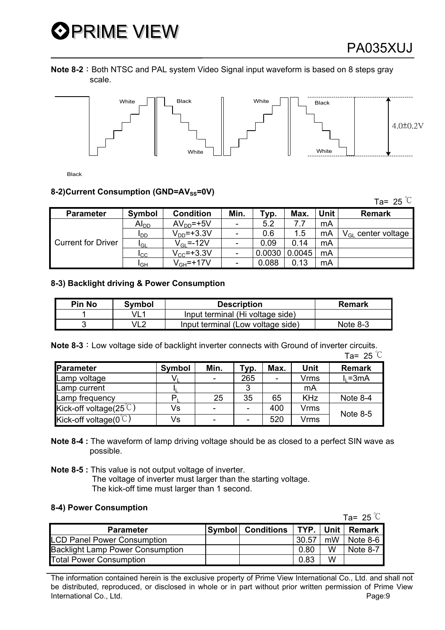# **OPRIME VIEW**

**Note 8-2**: Both NTSC and PAL system Video Signal input waveform is based on 8 steps gray scale.



Black

#### **8-2)Current Consumption (GND=AV<sub>SS</sub>=0V)**

Parameter | Symbol | Condition | Min. | Typ. | Max. | Unit | Remark  $\begin{array}{|c|c|c|c|c|c|}\n\hline\nA{\vert}_{DD} & A{\vert}_{DD} = +5{\vert}{\vert} & - & 5.2 & 7.7 & mA \\
\hline\nI_{DD} & V_{DD} = +3.3{\vert}{\vert}{\vert} & - & 0.6 & 1.5 & mA\n\end{array}$ IDD VDD=+3.3V - 0.6 1.5 mA VGL center voltage  $\frac{I_{\text{GL}}}{I_{\text{GC}}}$   $\frac{V_{\text{GL}}=12V}{V_{\text{CC}}=+3.3V}$  - 0.09 0.14 mA  $I_{\text{CC}}$   $V_{\text{CC}}$ =+3.3V - 0.0030 0.0045 Current for Driver  $I_{GH}$  |  $V_{GH}$ =+17V | - | 0.088 | 0.13 | mA

#### **8-3) Backlight driving & Power Consumption**

| <b>Pin No</b> | Symbol | <b>Description</b>                | Remark     |
|---------------|--------|-----------------------------------|------------|
|               | VL1    | Input terminal (Hi voltage side)  |            |
|               | VL2    | Input terminal (Low voltage side) | Note $8-3$ |

**Note 8-3**: Low voltage side of backlight inverter connects with Ground of inverter circuits.

|                                    |        |                          |      |      |             | Ta= 25 $°C$   |
|------------------------------------|--------|--------------------------|------|------|-------------|---------------|
| Parameter                          | Symbol | Min.                     | Typ. | Max. | Unit        | <b>Remark</b> |
| Lamp voltage                       |        | $\overline{\phantom{a}}$ | 265  |      | <b>Vrms</b> | $I_1 = 3mA$   |
| Lamp current                       |        |                          | 3    |      | mA          |               |
| Lamp frequency                     |        | 25                       | 35   | 65   | <b>KHz</b>  | Note 8-4      |
| Kick-off voltage(25 $\degree$ C)   | Vs     | ٠                        |      | 400  | <b>Vrms</b> | Note $8-5$    |
| Kick-off voltage( $0^{\degree}$ C) | Vs     | ۰                        |      | 520  | <b>Vrms</b> |               |

- **Note 8-4 :** The waveform of lamp driving voltage should be as closed to a perfect SIN wave as possible.
- **Note 8-5 :** This value is not output voltage of inverter. The voltage of inverter must larger than the starting voltage. The kick-off time must larger than 1 second.

#### **8-4) Power Consumption**

|                                         |                    |             |    | Ta= 25 $\degree$ C |
|-----------------------------------------|--------------------|-------------|----|--------------------|
| <b>Parameter</b>                        | Symbol  Conditions | TYP.   Unit |    | Remark             |
| <b>LCD Panel Power Consumption</b>      |                    | 30.57       | mW | l Note 8-6         |
| <b>Backlight Lamp Power Consumption</b> |                    | 0.80        | W  | Note 8-7           |
| <b>Total Power Consumption</b>          |                    | 0.83        | W  |                    |

The information contained herein is the exclusive property of Prime View International Co., Ltd. and shall not be distributed, reproduced, or disclosed in whole or in part without prior written permission of Prime View International Co., Ltd. **Page:9** 

Ta= 25  $\degree$ C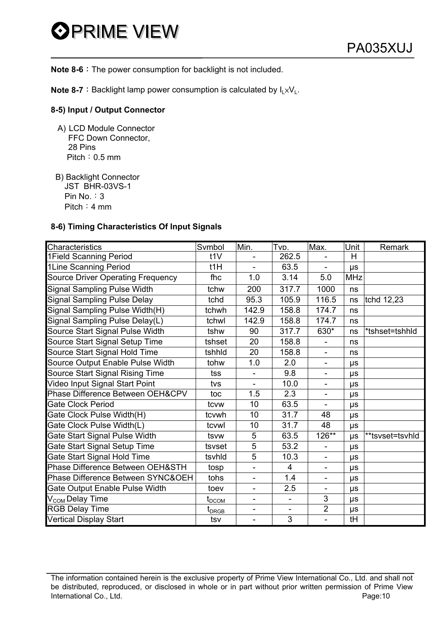

**Note 8-6**: The power consumption for backlight is not included.

**Note 8-7**: Backlight lamp power consumption is calculated by  $I_L \times V_L$ .

#### **8-5) Input / Output Connector**

- A) LCD Module Connector FFC Down Connector, 28 Pins Pitch:  $0.5$  mm
- B) Backlight Connector JST BHR-03VS-1 Pin No.  $: 3$ Pitch: 4 mm

#### **8-6) Timing Characteristics Of Input Signals**

| Characteristics                          | Svmbol                                            | Min.                     | Tvn.  | Max.                         | Unit       | Remark          |
|------------------------------------------|---------------------------------------------------|--------------------------|-------|------------------------------|------------|-----------------|
| 1Field Scanning Period                   | t1V                                               |                          | 262.5 |                              | H          |                 |
| 1Line Scanning Period                    | t1H                                               |                          | 63.5  |                              | μs         |                 |
| <b>Source Driver Operating Frequency</b> | fhc                                               | 1.0                      | 3.14  | 5.0                          | <b>MHz</b> |                 |
| <b>Signal Sampling Pulse Width</b>       | tchw                                              | 200                      | 317.7 | 1000                         | ns         |                 |
| <b>Signal Sampling Pulse Delay</b>       | tchd                                              | 95.3                     | 105.9 | 116.5                        | ns         | tchd 12,23      |
| Signal Sampling Pulse Width(H)           | tchwh                                             | 142.9                    | 158.8 | 174.7                        | ns         |                 |
| Signal Sampling Pulse Delay(L)           | tchwl                                             | 142.9                    | 158.8 | 174.7                        | ns         |                 |
| Source Start Signal Pulse Width          | tshw                                              | 90                       | 317.7 | 630*                         | ns         | *tshset=tshhld  |
| Source Start Signal Setup Time           | tshset                                            | 20                       | 158.8 | ÷,                           | ns         |                 |
| Source Start Signal Hold Time            | tshhld                                            | 20                       | 158.8 | $\qquad \qquad \blacksquare$ | ns         |                 |
| Source Output Enable Pulse Width         | tohw                                              | 1.0                      | 2.0   | $\overline{\phantom{0}}$     | μs         |                 |
| Source Start Signal Rising Time          | tss                                               |                          | 9.8   | $\overline{\phantom{0}}$     | μs         |                 |
| Video Input Signal Start Point           | tvs                                               | $\overline{\phantom{0}}$ | 10.0  | $\overline{\phantom{0}}$     | μs         |                 |
| Phase Difference Between OEH&CPV         | toc                                               | 1.5                      | 2.3   | $\overline{\phantom{a}}$     | μs         |                 |
| <b>Gate Clock Period</b>                 | tcvw                                              | 10                       | 63.5  |                              | $\mu s$    |                 |
| Gate Clock Pulse Width(H)                | tcvwh                                             | 10                       | 31.7  | 48                           | μs         |                 |
| Gate Clock Pulse Width(L)                | tcvwl                                             | 10                       | 31.7  | 48                           | μs         |                 |
| Gate Start Signal Pulse Width            | tsvw                                              | 5                        | 63.5  | 126**                        | μs         | **tsvset=tsvhld |
| Gate Start Signal Setup Time             | tsvset                                            | $\overline{5}$           | 53.2  |                              | μs         |                 |
| Gate Start Signal Hold Time              | tsvhld                                            | $\overline{5}$           | 10.3  |                              | μs         |                 |
| Phase Difference Between OEH&STH         | tosp                                              | ÷,                       | 4     | $\qquad \qquad \blacksquare$ | μs         |                 |
| Phase Difference Between SYNC&OEH        | tohs                                              | $\overline{\phantom{0}}$ | 1.4   | $\overline{\phantom{a}}$     | μs         |                 |
| Gate Output Enable Pulse Width           | toev                                              | $\overline{\phantom{m}}$ | 2.5   | -                            | μs         |                 |
| V <sub>COM</sub> Delay Time              | $\textsf{t}_{\mathsf{DCOM}}$                      |                          | ÷,    | 3                            | μs         |                 |
| <b>RGB Delay Time</b>                    | $\textnormal{t}_{\textnormal{\scriptsize{DRGB}}}$ | $\overline{\phantom{a}}$ | ÷,    | $\overline{2}$               | μs         |                 |
| <b>Vertical Display Start</b>            | tsv                                               | $\overline{\phantom{a}}$ | 3     | $\overline{\phantom{a}}$     | tH         |                 |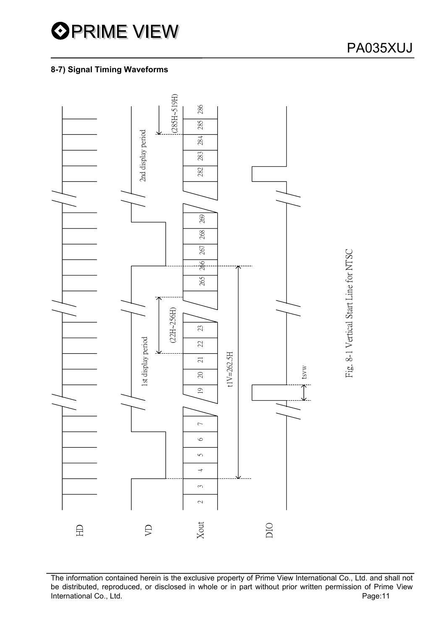# **8-7) Signal Timing Waveforms**



The information contained herein is the exclusive property of Prime View International Co., Ltd. and shall not be distributed, reproduced, or disclosed in whole or in part without prior written permission of Prime View<br>International Co., Ltd.<br>Page:11 International Co., Ltd.

Fig. 8-1 Vertical Start Line for NTSC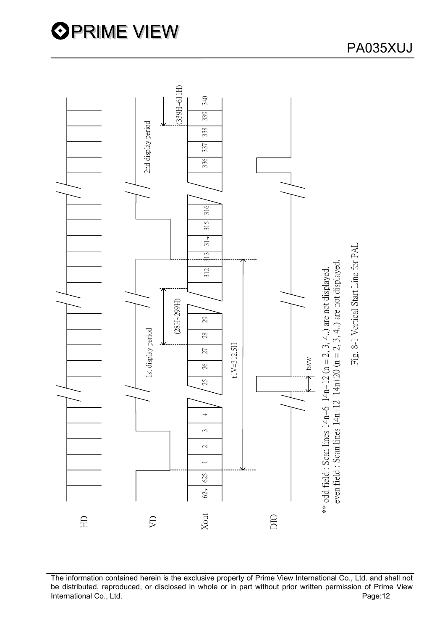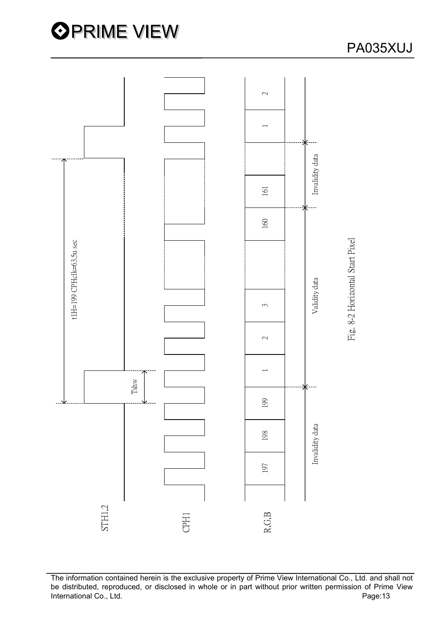

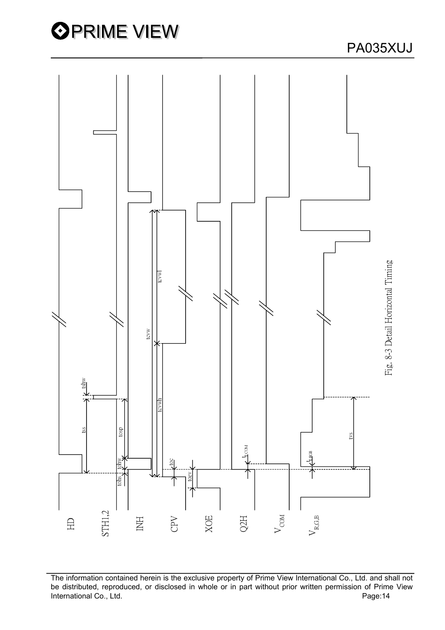

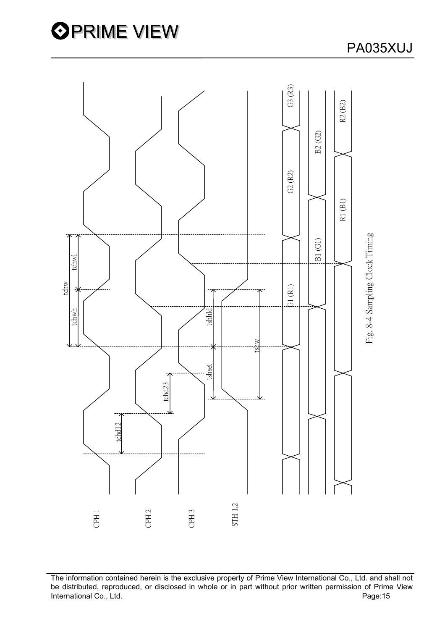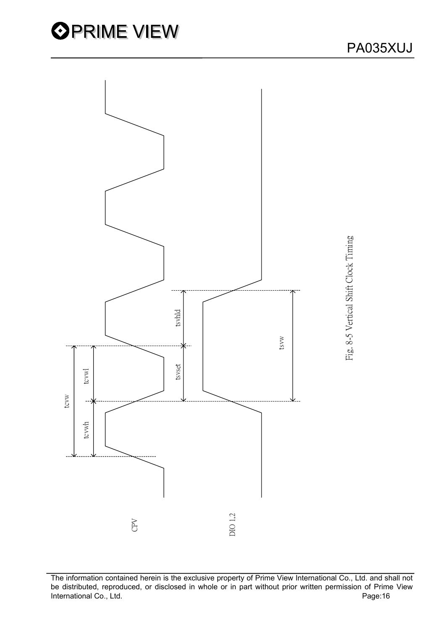



The information contained herein is the exclusive property of Prime View International Co., Ltd. and shall not be distributed, reproduced, or disclosed in whole or in part without prior written permission of Prime View<br>Page:16<br>Page:16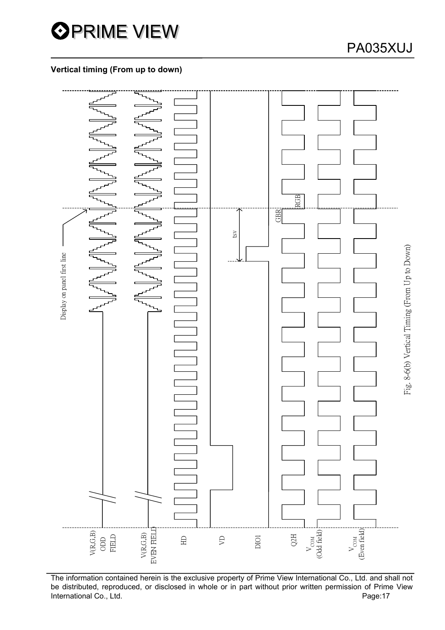

# **Vertical timing (From up to down)**



The information contained herein is the exclusive property of Prime View International Co., Ltd. and shall not be distributed, reproduced, or disclosed in whole or in part without prior written permission of Prime View<br>
Page:17<br>
Page:17 International Co., Ltd.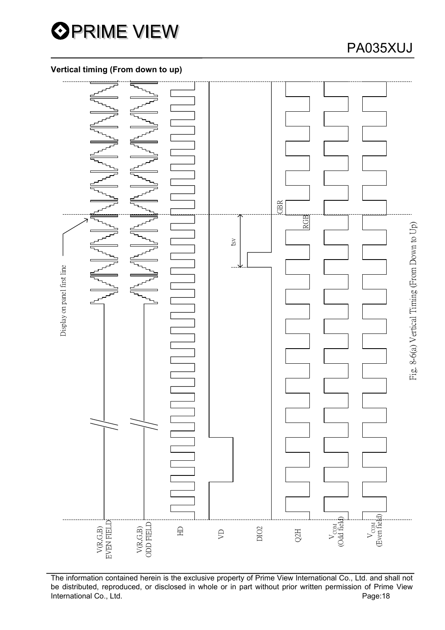

# PA035XUJ

## **Vertical timing (From down to up)**



The information contained herein is the exclusive property of Prime View International Co., Ltd. and shall not be distributed, reproduced, or disclosed in whole or in part without prior written permission of Prime View<br>Page:18<br>Page:18 International Co., Ltd.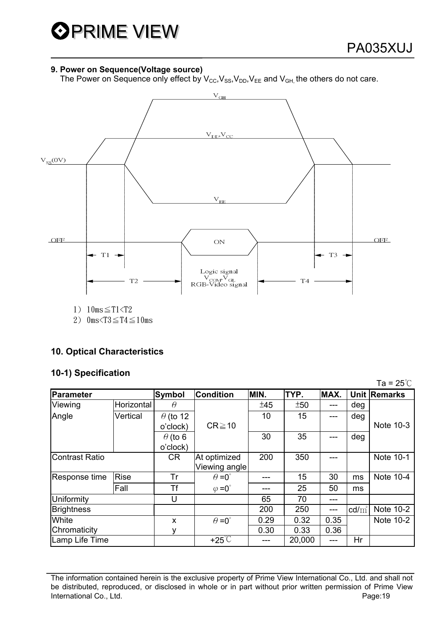The Power on Sequence only effect by  $V_{\text{CC}}$ ,  $V_{\text{SS}}$ ,  $V_{\text{DD}}$ ,  $V_{\text{EE}}$  and  $V_{\text{GH}}$ , the others do not care.



# **10. Optical Characteristics**

## **10-1) Specification**

|                       |             |                 |                       |      |        |      |                 | Ta = $25^{\circ}$ C |
|-----------------------|-------------|-----------------|-----------------------|------|--------|------|-----------------|---------------------|
| Parameter             |             | <b>Symbol</b>   | Condition             | MIN. | TYP.   | MAX. |                 | Unit Remarks        |
| Viewing               | Horizontal  | $\theta$        |                       | ±45  | ±50    |      | deg             |                     |
| Angle                 | Vertical    | $\theta$ (to 12 |                       | 10   | 15     |      | deg             |                     |
|                       |             | o'clock)        | $CR \ge 10$           |      |        |      |                 | Note 10-3           |
|                       |             | $\theta$ (to 6  |                       | 30   | 35     |      | deg             |                     |
|                       |             | o'clock)        |                       |      |        |      |                 |                     |
| <b>Contrast Ratio</b> |             | <b>CR</b>       | At optimized          | 200  | 350    |      |                 | Note 10-1           |
|                       |             |                 | Viewing angle         |      |        |      |                 |                     |
| Response time         | <b>Rise</b> | Tr              | $\theta = 0^{\circ}$  |      | 15     | 30   | ms              | Note 10-4           |
|                       | Fall        | Τf              | $\varphi = 0^{\circ}$ |      | 25     | 50   | ms              |                     |
| Uniformity            |             | U               |                       | 65   | 70     |      |                 |                     |
| <b>Brightness</b>     |             |                 |                       | 200  | 250    | ---  | $\text{cd/m}^2$ | Note 10-2           |
| White                 |             | X               | $\theta = 0^{\circ}$  | 0.29 | 0.32   | 0.35 |                 | Note 10-2           |
| Chromaticity          |             | ٧               |                       | 0.30 | 0.33   | 0.36 |                 |                     |
| Lamp Life Time        |             |                 | $+25^{\circ}$ C       |      | 20,000 | ---  | Hr              |                     |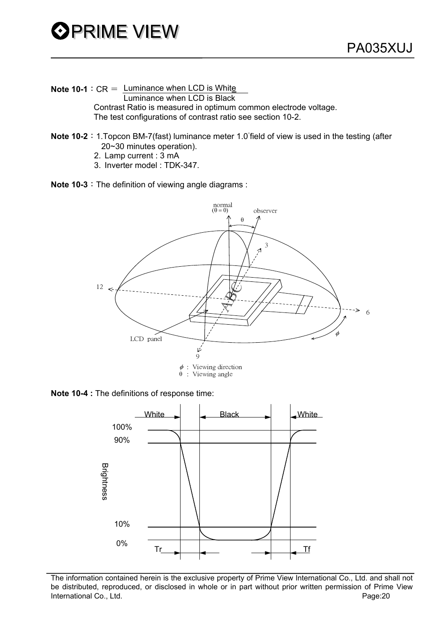

**Note 10-1**:  $CR =$  Luminance when LCD is White Luminance when LCD is Black

 Contrast Ratio is measured in optimum common electrode voltage. The test configurations of contrast ratio see section 10-2.

- **Note 10-2**: 1.Topcon BM-7(fast) luminance meter 1.0 field of view is used in the testing (after 20~30 minutes operation).
	- 2. Lamp current : 3 mA
	- 3. Inverter model : TDK-347.

**Note 10-3**: The definition of viewing angle diagrams :





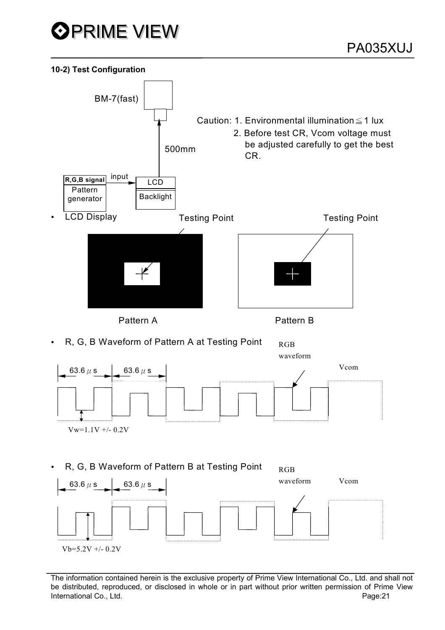

#### **10-2) Test Configuration**

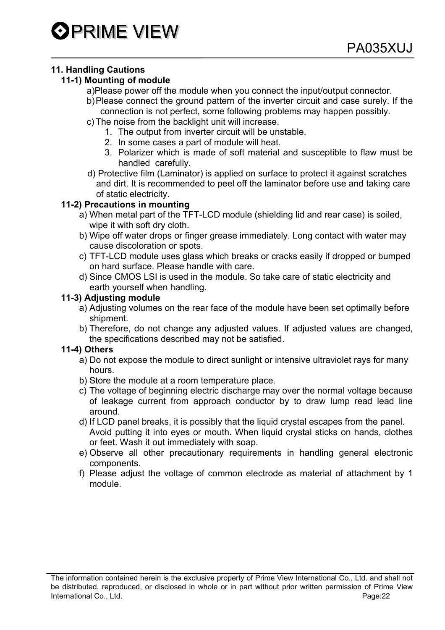# **11. Handling Cautions**

# **11-1) Mounting of module**

- a)Please power off the module when you connect the input/output connector.
- b) Please connect the ground pattern of the inverter circuit and case surely. If the connection is not perfect, some following problems may happen possibly.
- c) The noise from the backlight unit will increase.
	- 1. The output from inverter circuit will be unstable.
	- 2. In some cases a part of module will heat.
	- 3. Polarizer which is made of soft material and susceptible to flaw must be handled carefully.
- d) Protective film (Laminator) is applied on surface to protect it against scratches and dirt. It is recommended to peel off the laminator before use and taking care of static electricity.

# **11-2) Precautions in mounting**

- a) When metal part of the TFT-LCD module (shielding lid and rear case) is soiled, wipe it with soft dry cloth.
- b) Wipe off water drops or finger grease immediately. Long contact with water may cause discoloration or spots.
- c) TFT-LCD module uses glass which breaks or cracks easily if dropped or bumped on hard surface. Please handle with care.
- d) Since CMOS LSI is used in the module. So take care of static electricity and earth yourself when handling.

# **11-3) Adjusting module**

- a) Adjusting volumes on the rear face of the module have been set optimally before shipment.
- b) Therefore, do not change any adjusted values. If adjusted values are changed, the specifications described may not be satisfied.

## **11-4) Others**

- a) Do not expose the module to direct sunlight or intensive ultraviolet rays for many hours.
- b) Store the module at a room temperature place.
- c) The voltage of beginning electric discharge may over the normal voltage because of leakage current from approach conductor by to draw lump read lead line around.
- d) If LCD panel breaks, it is possibly that the liquid crystal escapes from the panel.
- Avoid putting it into eyes or mouth. When liquid crystal sticks on hands, clothes or feet. Wash it out immediately with soap.
- e) Observe all other precautionary requirements in handling general electronic components.
- f) Please adjust the voltage of common electrode as material of attachment by 1 module.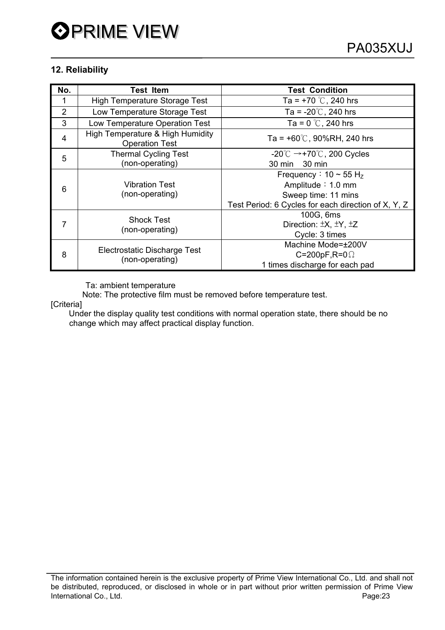# **12. Reliability**

| No.            | <b>Test Item</b>                                          | <b>Test Condition</b>                                      |  |  |
|----------------|-----------------------------------------------------------|------------------------------------------------------------|--|--|
| 1              | High Temperature Storage Test                             | Ta = $+70$ °C, 240 hrs                                     |  |  |
| $\overline{2}$ | Low Temperature Storage Test                              | Ta = $-20^{\circ}$ C, 240 hrs                              |  |  |
| 3              | Low Temperature Operation Test                            | Ta = $0^{\circ}$ C, 240 hrs                                |  |  |
| 4              | High Temperature & High Humidity<br><b>Operation Test</b> | Ta = $+60^{\circ}$ C, 90%RH, 240 hrs                       |  |  |
| 5              | <b>Thermal Cycling Test</b>                               | $-20^{\circ}$ C $\rightarrow$ +70 $^{\circ}$ C, 200 Cycles |  |  |
|                | (non-operating)                                           | 30 min 30 min                                              |  |  |
| 6              | <b>Vibration Test</b><br>(non-operating)                  | Frequency : $10 \sim 55$ H <sub>z</sub>                    |  |  |
|                |                                                           | Amplitude: 1.0 mm                                          |  |  |
|                |                                                           | Sweep time: 11 mins                                        |  |  |
|                |                                                           | Test Period: 6 Cycles for each direction of X, Y, Z        |  |  |
| 7              | <b>Shock Test</b><br>(non-operating)                      | 100G, 6ms                                                  |  |  |
|                |                                                           | Direction: $\pm X$ , $\pm Y$ , $\pm Z$                     |  |  |
|                |                                                           | Cycle: 3 times                                             |  |  |
| 8              | Electrostatic Discharge Test<br>(non-operating)           | Machine Mode=±200V                                         |  |  |
|                |                                                           | C=200pF,R=0 $\Omega$                                       |  |  |
|                |                                                           | 1 times discharge for each pad                             |  |  |

Ta: ambient temperature

Note: The protective film must be removed before temperature test.

[Criteria]

 Under the display quality test conditions with normal operation state, there should be no change which may affect practical display function.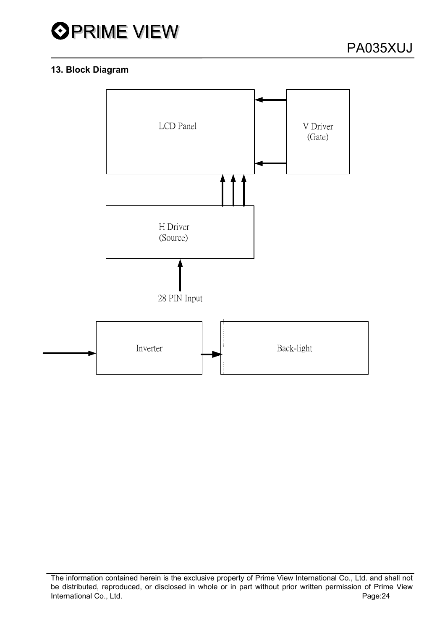

# **13. Block Diagram**

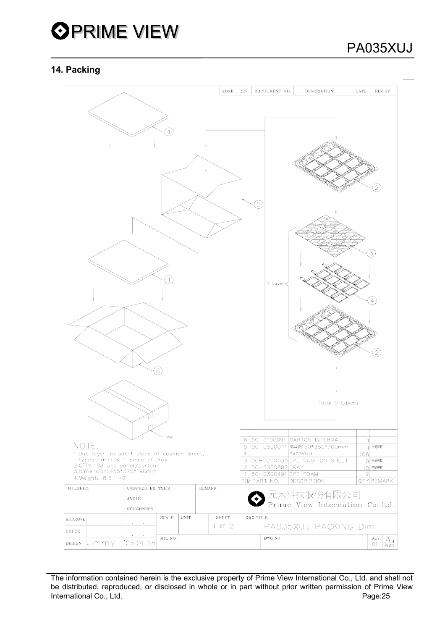

## **14. Packing**

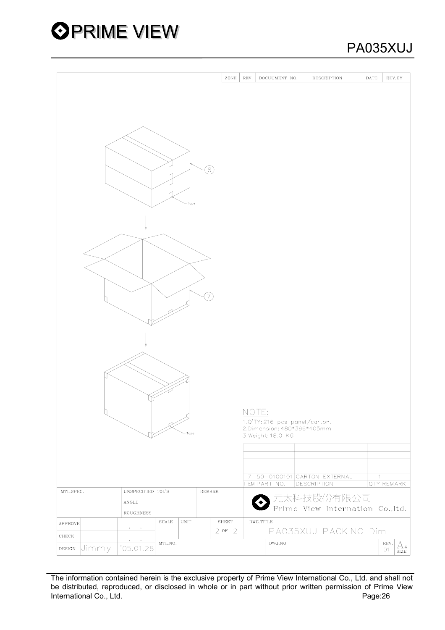

# PA035XUJ